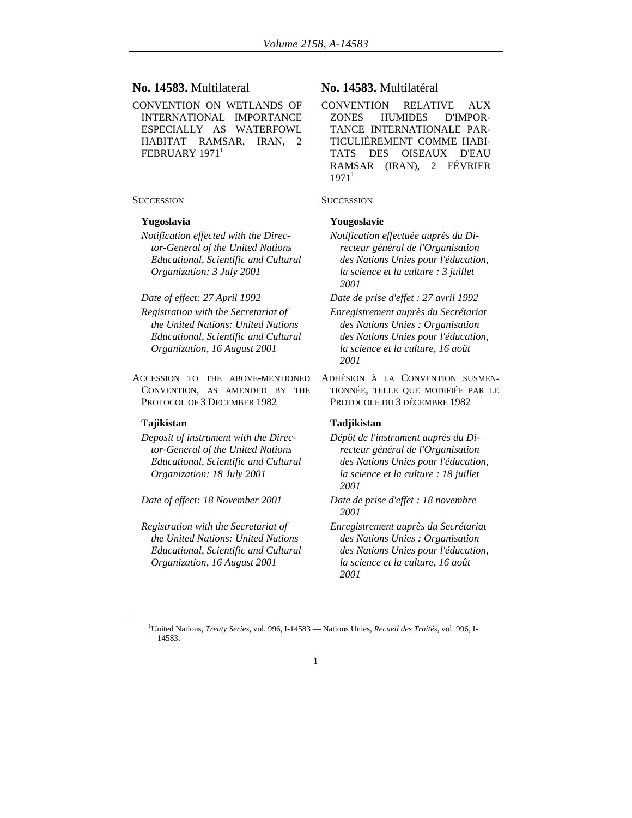## **No. 14583.** Multilateral

CONVENTION ON WETLANDS OF INTERNATIONAL IMPORTANCE ESPECIALLY AS WATERFOWL HABITAT RAMSAR, IRAN, 2 FEBRUARY 1971<sup>1</sup>

## **SUCCESSION** SUCCESSION

*Notification effected with the Director-General of the United Nations Educational, Scientific and Cultural Organization: 3 July 2001* 

- *Registration with the Secretariat of the United Nations: United Nations Educational, Scientific and Cultural Organization, 16 August 2001*
- ACCESSION TO THE ABOVE-MENTIONED CONVENTION, AS AMENDED BY THE PROTOCOL OF 3 DECEMBER 1982

*Deposit of instrument with the Director-General of the United Nations Educational, Scientific and Cultural Organization: 18 July 2001* 

*Registration with the Secretariat of the United Nations: United Nations Educational, Scientific and Cultural Organization, 16 August 2001* 

# **No. 14583.** Multilatéral

CONVENTION RELATIVE AUX ZONES HUMIDES D'IMPOR-TANCE INTERNATIONALE PAR-TICULIÈREMENT COMME HABI-TATS DES OISEAUX D'EAU RAMSAR (IRAN), 2 FÉVRIER  $1971<sup>1</sup>$ 

### **Yugoslavia Yougoslavie**

*Notification effectuée auprès du Directeur général de l'Organisation des Nations Unies pour l'éducation, la science et la culture : 3 juillet 2001* 

*Date of effect: 27 April 1992 Date de prise d'effet : 27 avril 1992* 

- *Enregistrement auprès du Secrétariat des Nations Unies : Organisation des Nations Unies pour l'éducation, la science et la culture, 16 août 2001*
- ADHÉSION À LA CONVENTION SUSMEN-TIONNÉE, TELLE QUE MODIFIÉE PAR LE PROTOCOLE DU 3 DÉCEMBRE 1982

# **Tajikistan Tadjikistan**

- *Dépôt de l'instrument auprès du Directeur général de l'Organisation des Nations Unies pour l'éducation, la science et la culture : 18 juillet 2001*
- *Date of effect: 18 November 2001 Date de prise d'effet : 18 novembre 2001* 
	- *Enregistrement auprès du Secrétariat des Nations Unies : Organisation des Nations Unies pour l'éducation, la science et la culture, 16 août 2001*

<sup>1&</sup>lt;sup>1</sup> United Nations, *Treaty Series,* vol. 996, I-14583 — Nations Unies, *Recueil des Traités,* vol. 996, I-14583.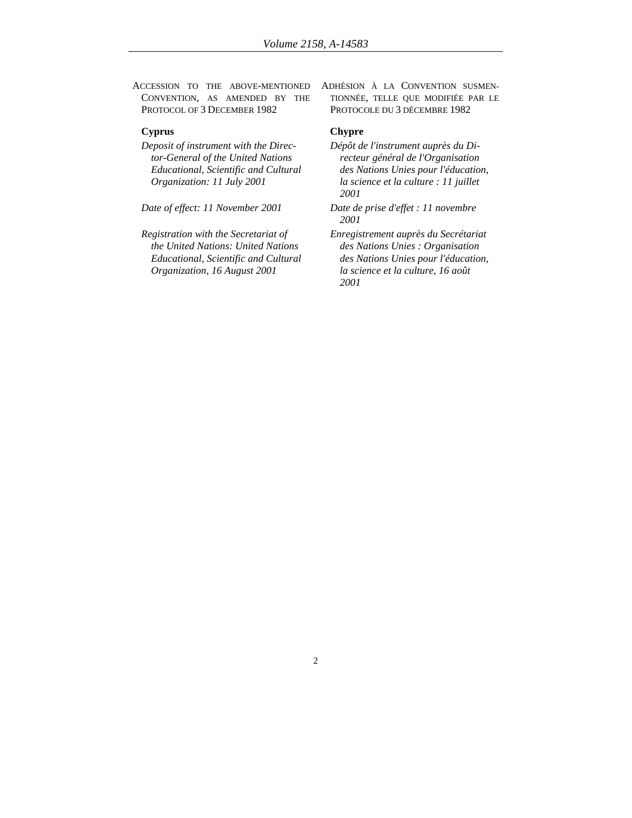ACCESSION TO THE ABOVE-MENTIONED CONVENTION, AS AMENDED BY THE PROTOCOL OF 3 DECEMBER 1982

## **Cyprus Chypre**

*Deposit of instrument with the Director-General of the United Nations Educational, Scientific and Cultural Organization: 11 July 2001* 

*Registration with the Secretariat of the United Nations: United Nations Educational, Scientific and Cultural Organization, 16 August 2001* 

ADHÉSION À LA CONVENTION SUSMEN-TIONNÉE, TELLE QUE MODIFIÉE PAR LE PROTOCOLE DU 3 DÉCEMBRE 1982

- *Dépôt de l'instrument auprès du Directeur général de l'Organisation des Nations Unies pour l'éducation, la science et la culture : 11 juillet 2001*
- *Date of effect: 11 November 2001 Date de prise d'effet : 11 novembre 2001* 
	- *Enregistrement auprès du Secrétariat des Nations Unies : Organisation des Nations Unies pour l'éducation, la science et la culture, 16 août 2001*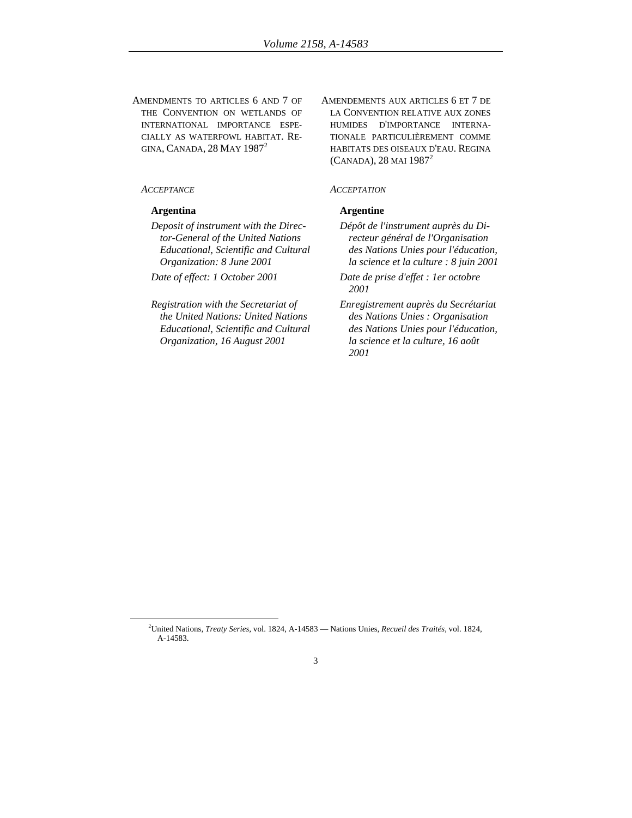AMENDMENTS TO ARTICLES 6 AND 7 OF THE CONVENTION ON WETLANDS OF INTERNATIONAL IMPORTANCE ESPE-CIALLY AS WATERFOWL HABITAT. RE-GINA, CANADA, 28 MAY 1987<sup>2</sup>

*Deposit of instrument with the Director-General of the United Nations Educational, Scientific and Cultural Organization: 8 June 2001* 

*Date of effect: 1 October 2001 Date de prise d'effet : 1er octobre* 

*Registration with the Secretariat of the United Nations: United Nations Educational, Scientific and Cultural Organization, 16 August 2001* 

AMENDEMENTS AUX ARTICLES 6 ET 7 DE LA CONVENTION RELATIVE AUX ZONES HUMIDES D'IMPORTANCE INTERNA-TIONALE PARTICULIÈREMENT COMME HABITATS DES OISEAUX D'EAU. REGINA  $(CANADA)$ , 28 MAI 1987<sup>2</sup>

## *ACCEPTANCE ACCEPTATION*

## **Argentina Argentine**

*Dépôt de l'instrument auprès du Directeur général de l'Organisation des Nations Unies pour l'éducation, la science et la culture : 8 juin 2001* 

*2001* 

*Enregistrement auprès du Secrétariat des Nations Unies : Organisation des Nations Unies pour l'éducation, la science et la culture, 16 août 2001* 

 $\overline{2}$ United Nations, *Treaty Series,* vol. 1824, A-14583 — Nations Unies, *Recueil des Traités,* vol. 1824, A-14583.